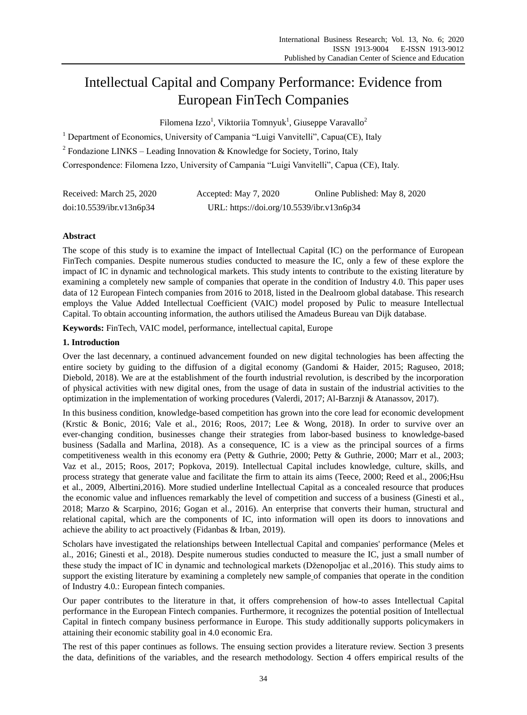# Intellectual Capital and Company Performance: Evidence from European FinTech Companies

Filomena Izzo<sup>1</sup>, Viktoriia Tomnyuk<sup>1</sup>, Giuseppe Varavallo<sup>2</sup>

<sup>1</sup> Department of Economics, University of Campania "Luigi Vanvitelli", Capua(CE), Italy

<sup>2</sup> Fondazione LINKS – Leading Innovation & Knowledge for Society, Torino, Italy

Correspondence: Filomena Izzo, University of Campania "Luigi Vanvitelli", Capua (CE), Italy.

| Received: March 25, 2020 | Accepted: May 7, 2020                     | Online Published: May 8, 2020 |
|--------------------------|-------------------------------------------|-------------------------------|
| doi:10.5539/ibr.v13n6p34 | URL: https://doi.org/10.5539/ibr.v13n6p34 |                               |

# **Abstract**

The scope of this study is to examine the impact of Intellectual Capital (IC) on the performance of European FinTech companies. Despite numerous studies conducted to measure the IC, only a few of these explore the impact of IC in dynamic and technological markets. This study intents to contribute to the existing literature by examining a completely new sample of companies that operate in the condition of Industry 4.0. This paper uses data of 12 European Fintech companies from 2016 to 2018, listed in the Dealroom global database. This research employs the Value Added Intellectual Coefficient (VAIC) model proposed by Pulic to measure Intellectual Capital. To obtain accounting information, the authors utilised the Amadeus Bureau van Dijk database.

**Keywords:** FinTech, VAIC model, performance, intellectual capital, Europe

## **1. Introduction**

Over the last decennary, a continued advancement founded on new digital technologies has been affecting the entire society by guiding to the diffusion of a digital economy (Gandomi & Haider, 2015; Raguseo, 2018; Diebold, 2018). We are at the establishment of the fourth industrial revolution, is described by the incorporation of physical activities with new digital ones, from the usage of data in sustain of the industrial activities to the optimization in the implementation of working procedures (Valerdi, 2017; Al-Barznji & Atanassov, 2017).

In this business condition, knowledge-based competition has grown into the core lead for economic development (Krstic & Bonic, 2016; Vale et al., 2016; Roos, 2017; Lee & Wong, 2018). In order to survive over an ever-changing condition, businesses change their strategies from labor-based business to knowledge-based business (Sadalla and Marlina, 2018). As a consequence, IC is a view as the principal sources of a firms competitiveness wealth in this economy era (Petty & Guthrie, 2000; Petty & Guthrie, 2000; Marr et al., 2003; Vaz et al., 2015; Roos, 2017; Popkova, 2019). Intellectual Capital includes knowledge, culture, skills, and process strategy that generate value and facilitate the firm to attain its aims (Teece, 2000; Reed et al., 2006;Hsu et al., 2009, Albertini,2016). More studied underline Intellectual Capital as a concealed resource that produces the economic value and influences remarkably the level of competition and success of a business (Ginesti et al., 2018; Marzo & Scarpino, 2016; Gogan et al., 2016). An enterprise that converts their human, structural and relational capital, which are the components of IC, into information will open its doors to innovations and achieve the ability to act proactively (Fidanbas & Irban, 2019).

Scholars have investigated the relationships between Intellectual Capital and companies' performance (Meles et al., 2016; Ginesti et al., 2018). Despite numerous studies conducted to measure the IC, just a small number of these study the impact of IC in dynamic and technological markets (Dženopoljac et al.,2016). This study aims to support the existing literature by examining a completely new sample of companies that operate in the condition of Industry 4.0.: European fintech companies.

Our paper contributes to the literature in that, it offers comprehension of how-to asses Intellectual Capital performance in the European Fintech companies. Furthermore, it recognizes the potential position of Intellectual Capital in fintech company business performance in Europe. This study additionally supports policymakers in attaining their economic stability goal in 4.0 economic Era.

The rest of this paper continues as follows. The ensuing section provides a literature review. Section 3 presents the data, definitions of the variables, and the research methodology. Section 4 offers empirical results of the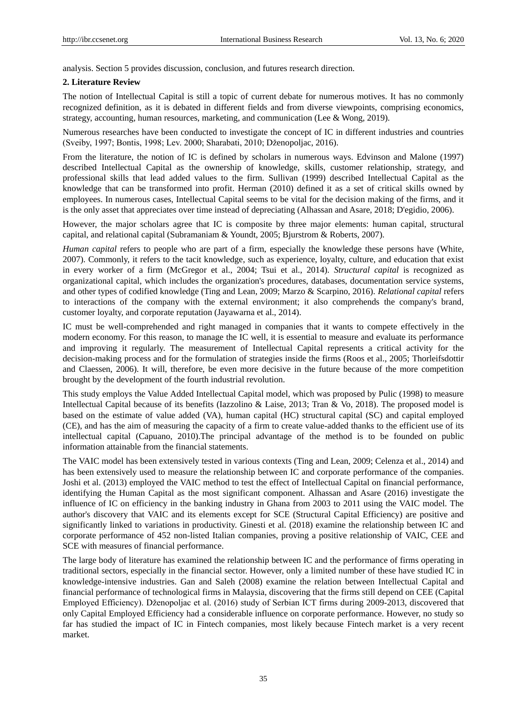analysis. Section 5 provides discussion, conclusion, and futures research direction.

#### **2. Literature Review**

The notion of Intellectual Capital is still a topic of current debate for numerous motives. It has no commonly recognized definition, as it is debated in different fields and from diverse viewpoints, comprising economics, strategy, accounting, human resources, marketing, and communication (Lee & Wong, 2019).

Numerous researches have been conducted to investigate the concept of IC in different industries and countries (Sveiby, 1997; Bontis, 1998; Lev. 2000; Sharabati, 2010; Dženopoljac, 2016).

From the literature, the notion of IC is defined by scholars in numerous ways. Edvinson and Malone (1997) described Intellectual Capital as the ownership of knowledge, skills, customer relationship, strategy, and professional skills that lead added values to the firm. Sullivan (1999) described Intellectual Capital as the knowledge that can be transformed into profit. Herman (2010) defined it as a set of critical skills owned by employees. In numerous cases, Intellectual Capital seems to be vital for the decision making of the firms, and it is the only asset that appreciates over time instead of depreciating (Alhassan and Asare, 2018; D'egidio, 2006).

However, the major scholars agree that IC is composite by three major elements: human capital, structural capital, and relational capital (Subramaniam & Youndt, 2005; Bjurstrom & Roberts, 2007).

*Human capital* refers to people who are part of a firm, especially the knowledge these persons have (White, 2007). Commonly, it refers to the tacit knowledge, such as experience, loyalty, culture, and education that exist in every worker of a firm (McGregor et al., 2004; Tsui et al., 2014). *Structural capital* is recognized as organizational capital, which includes the organization's procedures, databases, documentation service systems, and other types of codified knowledge (Ting and Lean, 2009; Marzo & Scarpino, 2016). *Relational capital* refers to interactions of the company with the external environment; it also comprehends the company's brand, customer loyalty, and corporate reputation (Jayawarna et al., 2014).

IC must be well-comprehended and right managed in companies that it wants to compete effectively in the modern economy. For this reason, to manage the IC well, it is essential to measure and evaluate its performance and improving it regularly. The measurement of Intellectual Capital represents a critical activity for the decision-making process and for the formulation of strategies inside the firms (Roos et al., 2005; Thorleifsdottir and Claessen, 2006). It will, therefore, be even more decisive in the future because of the more competition brought by the development of the fourth industrial revolution.

This study employs the Value Added Intellectual Capital model, which was proposed by Pulic (1998) to measure Intellectual Capital because of its benefits (Iazzolino & Laise, 2013; Tran & Vo, 2018). The proposed model is based on the estimate of value added (VA), human capital (HC) structural capital (SC) and capital employed (CE), and has the aim of measuring the capacity of a firm to create value-added thanks to the efficient use of its intellectual capital (Capuano, 2010).The principal advantage of the method is to be founded on public information attainable from the financial statements.

The VAIC model has been extensively tested in various contexts (Ting and Lean, 2009; Celenza et al., 2014) and has been extensively used to measure the relationship between IC and corporate performance of the companies. Joshi et al. (2013) employed the VAIC method to test the effect of Intellectual Capital on financial performance, identifying the Human Capital as the most significant component. Alhassan and Asare (2016) investigate the influence of IC on efficiency in the banking industry in Ghana from 2003 to 2011 using the VAIC model. The author's discovery that VAIC and its elements except for SCE (Structural Capital Efficiency) are positive and significantly linked to variations in productivity. Ginesti et al. (2018) examine the relationship between IC and corporate performance of 452 non-listed Italian companies, proving a positive relationship of VAIC, CEE and SCE with measures of financial performance.

The large body of literature has examined the relationship between IC and the performance of firms operating in traditional sectors, especially in the financial sector. However, only a limited number of these have studied IC in knowledge-intensive industries. Gan and Saleh (2008) examine the relation between Intellectual Capital and financial performance of technological firms in Malaysia, discovering that the firms still depend on CEE (Capital Employed Efficiency). Dženopoljac et al. (2016) study of Serbian ICT firms during 2009-2013, discovered that only Capital Employed Efficiency had a considerable influence on corporate performance. However, no study so far has studied the impact of IC in Fintech companies, most likely because Fintech market is a very recent market.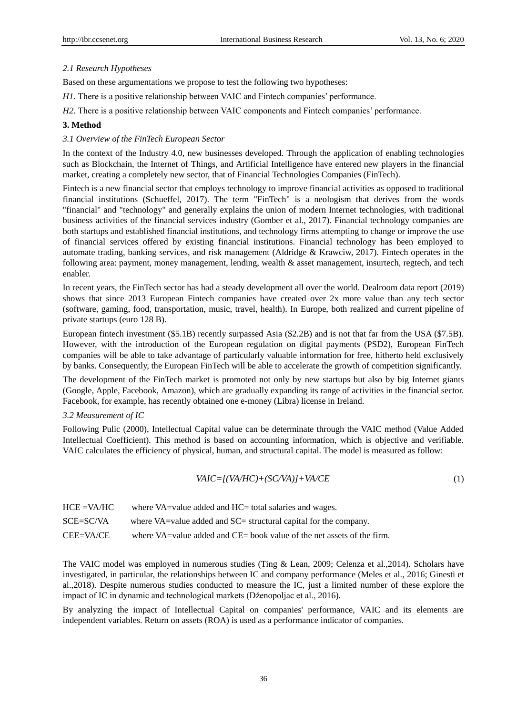# *2.1 Research Hypotheses*

Based on these argumentations we propose to test the following two hypotheses:

*H1*. There is a positive relationship between VAIC and Fintech companies' performance.

*H2.* There is a positive relationship between VAIC components and Fintech companies' performance.

# **3. Method**

# *3.1 Overview of the FinTech European Sector*

In the context of the Industry 4.0, new businesses developed. Through the application of enabling technologies such as Blockchain, the Internet of Things, and Artificial Intelligence have entered new players in the financial market, creating a completely new sector, that of Financial Technologies Companies (FinTech).

Fintech is a new financial sector that employs technology to improve financial activities as opposed to traditional financial institutions (Schueffel, 2017). The term "FinTech" is a neologism that derives from the words "financial" and "technology" and generally explains the union of modern Internet technologies, with traditional business activities of the financial services industry (Gomber et al., 2017). Financial technology companies are both startups and established financial institutions, and technology firms attempting to change or improve the use of financial services offered by existing financial institutions. Financial technology has been employed to automate trading, banking services, and risk management (Aldridge & Krawciw, 2017). Fintech operates in the following area: payment, money management, lending, wealth & asset management, insurtech, regtech, and tech enabler.

In recent years, the FinTech sector has had a steady development all over the world. Dealroom data report (2019) shows that since 2013 European Fintech companies have created over 2x more value than any tech sector (software, gaming, food, transportation, music, travel, health). In Europe, both realized and current pipeline of private startups (euro 128 B).

European fintech investment (\$5.1B) recently surpassed Asia (\$2.2B) and is not that far from the USA (\$7.5B). However, with the introduction of the European regulation on digital payments (PSD2), European FinTech companies will be able to take advantage of particularly valuable information for free, hitherto held exclusively by banks. Consequently, the European FinTech will be able to accelerate the growth of competition significantly.

The development of the FinTech market is promoted not only by new startups but also by big Internet giants (Google, Apple, Facebook, Amazon), which are gradually expanding its range of activities in the financial sector. Facebook, for example, has recently obtained one e-money (Libra) license in Ireland.

## *3.2 Measurement of IC*

Following Pulic (2000), Intellectual Capital value can be determinate through the VAIC method (Value Added Intellectual Coefficient). This method is based on accounting information, which is objective and verifiable. VAIC calculates the efficiency of physical, human, and structural capital. The model is measured as follow:

$$
V AIC = [(V A/H C) + (SC/V A)] + VA / CE
$$
\n(1)

| $HCE = VA/HC$ | where VA=value added and HC= total salaries and wages.                 |
|---------------|------------------------------------------------------------------------|
| SCE=SC/VA     | where VA=value added and SC= structural capital for the company.       |
| CEE=VA/CE     | where VA=value added and CE= book value of the net assets of the firm. |

The VAIC model was employed in numerous studies (Ting & Lean, 2009; Celenza et al.,2014). Scholars have investigated, in particular, the relationships between IC and company performance (Meles et al., 2016; Ginesti et al.,2018). Despite numerous studies conducted to measure the IC, just a limited number of these explore the impact of IC in dynamic and technological markets (Dženopoljac et al., 2016).

By analyzing the impact of Intellectual Capital on companies' performance, VAIC and its elements are independent variables. Return on assets (ROA) is used as a performance indicator of companies.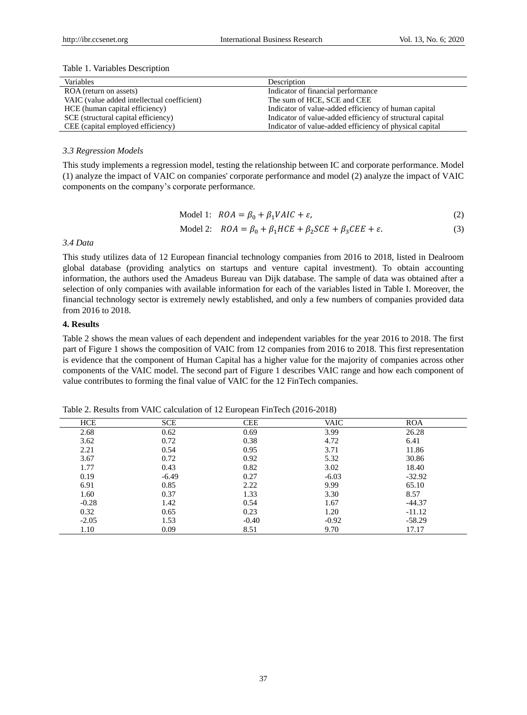#### Table 1. Variables Description

| <b>Variables</b>                            | Description                                               |
|---------------------------------------------|-----------------------------------------------------------|
| ROA (return on assets)                      | Indicator of financial performance                        |
| VAIC (value added intellectual coefficient) | The sum of HCE, SCE and CEE                               |
| HCE (human capital efficiency)              | Indicator of value-added efficiency of human capital      |
| SCE (structural capital efficiency)         | Indicator of value-added efficiency of structural capital |
| CEE (capital employed efficiency)           | Indicator of value-added efficiency of physical capital   |

#### *3.3 Regression Models*

This study implements a regression model, testing the relationship between IC and corporate performance. Model (1) analyze the impact of VAIC on companies' corporate performance and model (2) analyze the impact of VAIC components on the company's corporate performance.

$$
Model 1: ROA = \beta_0 + \beta_1 VAIC + \varepsilon,\tag{2}
$$

$$
\text{Model 2:} \quad ROA = \beta_0 + \beta_1 HCE + \beta_2 SCE + \beta_3 CEE + \varepsilon. \tag{3}
$$

#### *3.4 Data*

This study utilizes data of 12 European financial technology companies from 2016 to 2018, listed in Dealroom global database (providing analytics on startups and venture capital investment). To obtain accounting information, the authors used the Amadeus Bureau van Dijk database. The sample of data was obtained after a selection of only companies with available information for each of the variables listed in Table I. Moreover, the financial technology sector is extremely newly established, and only a few numbers of companies provided data from 2016 to 2018.

#### **4. Results**

Table 2 shows the mean values of each dependent and independent variables for the year 2016 to 2018. The first part of Figure 1 shows the composition of VAIC from 12 companies from 2016 to 2018. This first representation is evidence that the component of Human Capital has a higher value for the majority of companies across other components of the VAIC model. The second part of Figure 1 describes VAIC range and how each component of value contributes to forming the final value of VAIC for the 12 FinTech companies.

| <b>HCE</b> | <b>SCE</b> | <b>CEE</b> | <b>VAIC</b> | <b>ROA</b> |
|------------|------------|------------|-------------|------------|
| 2.68       | 0.62       | 0.69       | 3.99        | 26.28      |
| 3.62       | 0.72       | 0.38       | 4.72        | 6.41       |
| 2.21       | 0.54       | 0.95       | 3.71        | 11.86      |
| 3.67       | 0.72       | 0.92       | 5.32        | 30.86      |
| 1.77       | 0.43       | 0.82       | 3.02        | 18.40      |
| 0.19       | $-6.49$    | 0.27       | $-6.03$     | $-32.92$   |
| 6.91       | 0.85       | 2.22       | 9.99        | 65.10      |
| 1.60       | 0.37       | 1.33       | 3.30        | 8.57       |
| $-0.28$    | 1.42       | 0.54       | 1.67        | $-44.37$   |
| 0.32       | 0.65       | 0.23       | 1.20        | $-11.12$   |
| $-2.05$    | 1.53       | $-0.40$    | $-0.92$     | $-58.29$   |
| 1.10       | 0.09       | 8.51       | 9.70        | 17.17      |

Table 2. Results from VAIC calculation of 12 European FinTech (2016-2018)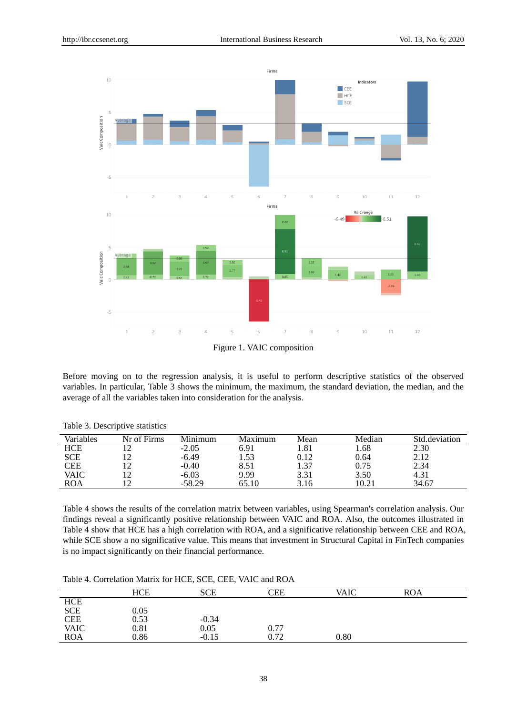

Figure 1. VAIC composition

Before moving on to the regression analysis, it is useful to perform descriptive statistics of the observed variables. In particular, Table 3 shows the minimum, the maximum, the standard deviation, the median, and the average of all the variables taken into consideration for the analysis.

| Variables  | Nr of Firms | Minimum  | Maximum | Mean     | Median | Std.deviation |
|------------|-------------|----------|---------|----------|--------|---------------|
| <b>HCE</b> | ∣າ          | $-2.05$  | 6.91    | 1.81     | 1.68   | 2.30          |
| <b>SCE</b> | ר ו         | $-6.49$  | 1.53    | $0.12\,$ | 0.64   | 2.12          |
| <b>CEE</b> | 1 າ         | $-0.40$  | 8.51    | 1.37     | 0.75   | 2.34          |
| VAIC       | ∣າ          | $-6.03$  | 9.99    | 3.31     | 3.50   | 4.31          |
| <b>ROA</b> | ി           | $-58.29$ |         | 3.16     | 10.21  | 34.67         |

Table 3. Descriptive statistics

Table 4 shows the results of the correlation matrix between variables, using Spearman's correlation analysis. Our findings reveal a significantly positive relationship between VAIC and ROA. Also, the outcomes illustrated in Table 4 show that HCE has a high correlation with ROA, and a significative relationship between CEE and ROA, while SCE show a no significative value. This means that investment in Structural Capital in FinTech companies is no impact significantly on their financial performance.

Table 4. Correlation Matrix for HCE, SCE, CEE, VAIC and ROA

|                                  | HCE                                         | <b>SCE</b>        | CEE                 | VAIC | ROA |  |
|----------------------------------|---------------------------------------------|-------------------|---------------------|------|-----|--|
|                                  |                                             |                   |                     |      |     |  |
|                                  | 0.05                                        |                   |                     |      |     |  |
|                                  | 0.53                                        |                   |                     |      |     |  |
|                                  |                                             | $-0.34$<br>$0.05$ |                     |      |     |  |
| HCE<br>SCE<br>CEE<br>VAIC<br>ROA | $\begin{array}{c} 0.81 \\ 0.86 \end{array}$ | $-0.15$           | $\frac{0.77}{0.72}$ | 0.80 |     |  |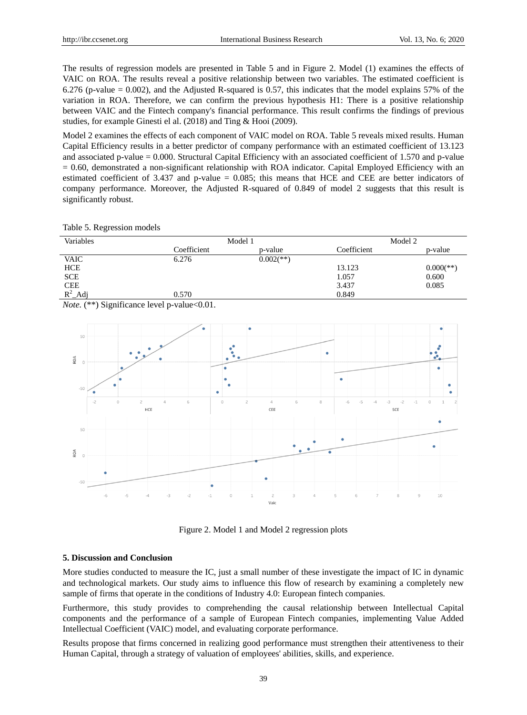The results of regression models are presented in Table 5 and in Figure 2. Model (1) examines the effects of VAIC on ROA. The results reveal a positive relationship between two variables. The estimated coefficient is 6.276 (p-value = 0.002), and the Adjusted R-squared is 0.57, this indicates that the model explains 57% of the variation in ROA. Therefore, we can confirm the previous hypothesis H1: There is a positive relationship between VAIC and the Fintech company's financial performance. This result confirms the findings of previous studies, for example Ginesti el al. (2018) and Ting & Hooi (2009).

Model 2 examines the effects of each component of VAIC model on ROA. Table 5 reveals mixed results. Human Capital Efficiency results in a better predictor of company performance with an estimated coefficient of 13.123 and associated p-value  $= 0.000$ . Structural Capital Efficiency with an associated coefficient of 1.570 and p-value  $= 0.60$ , demonstrated a non-significant relationship with ROA indicator. Capital Employed Efficiency with an estimated coefficient of 3.437 and p-value = 0.085; this means that HCE and CEE are better indicators of company performance. Moreover, the Adjusted R-squared of 0.849 of model 2 suggests that this result is significantly robust.

|  | Table 5. Regression models |  |
|--|----------------------------|--|
|--|----------------------------|--|

| Variables   | Model 1     |              | Model 2     |              |
|-------------|-------------|--------------|-------------|--------------|
|             | Coefficient | p-value      | Coefficient | p-value      |
| <b>VAIC</b> | 6.276       | $0.002$ (**) |             |              |
| <b>HCE</b>  |             |              | 13.123      | $0.000$ (**) |
| <b>SCE</b>  |             |              | 1.057       | 0.600        |
| <b>CEE</b>  |             |              | 3.437       | 0.085        |
| $R^2$ _Adj  | 0.570       |              | 0.849       |              |

*Note.* (\*\*) Significance level p-value<0.01.



Figure 2. Model 1 and Model 2 regression plots

## **5. Discussion and Conclusion**

More studies conducted to measure the IC, just a small number of these investigate the impact of IC in dynamic and technological markets. Our study aims to influence this flow of research by examining a completely new sample of firms that operate in the conditions of Industry 4.0: European fintech companies.

Furthermore, this study provides to comprehending the causal relationship between Intellectual Capital components and the performance of a sample of European Fintech companies, implementing Value Added Intellectual Coefficient (VAIC) model, and evaluating corporate performance.

Results propose that firms concerned in realizing good performance must strengthen their attentiveness to their Human Capital, through a strategy of valuation of employees' abilities, skills, and experience.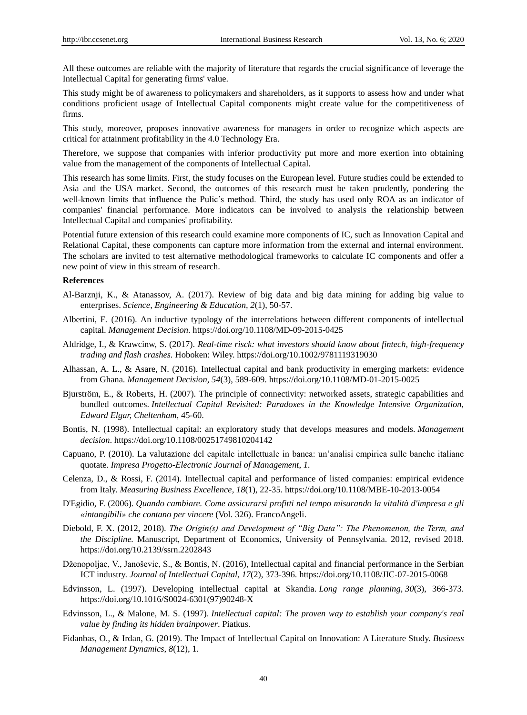All these outcomes are reliable with the majority of literature that regards the crucial significance of leverage the Intellectual Capital for generating firms' value.

This study might be of awareness to policymakers and shareholders, as it supports to assess how and under what conditions proficient usage of Intellectual Capital components might create value for the competitiveness of firms.

This study, moreover, proposes innovative awareness for managers in order to recognize which aspects are critical for attainment profitability in the 4.0 Technology Era.

Therefore, we suppose that companies with inferior productivity put more and more exertion into obtaining value from the management of the components of Intellectual Capital.

This research has some limits. First, the study focuses on the European level. Future studies could be extended to Asia and the USA market. Second, the outcomes of this research must be taken prudently, pondering the well-known limits that influence the Pulic's method. Third, the study has used only ROA as an indicator of companies' financial performance. More indicators can be involved to analysis the relationship between Intellectual Capital and companies' profitability.

Potential future extension of this research could examine more components of IC, such as Innovation Capital and Relational Capital, these components can capture more information from the external and internal environment. The scholars are invited to test alternative methodological frameworks to calculate IC components and offer a new point of view in this stream of research.

#### **References**

- Al-Barznji, K., & Atanassov, A. (2017). Review of big data and big data mining for adding big value to enterprises. *Science, Engineering & Education, 2*(1), 50-57.
- Albertini, E. (2016). An inductive typology of the interrelations between different components of intellectual capital. *Management Decision*.<https://doi.org/10.1108/MD-09-2015-0425>
- Aldridge, I., & Krawcinw, S. (2017). *Real-time risck: what investors should know about fintech, high-frequency trading and flash crashes.* Hoboken: Wiley. https://doi.org/10.1002/9781119319030
- Alhassan, A. L., & Asare, N. (2016). Intellectual capital and bank productivity in emerging markets: evidence from Ghana. *Management Decision*, *54*(3), 589-609.<https://doi.org/10.1108/MD-01-2015-0025>
- Bjurström, E., & Roberts, H. (2007). The principle of connectivity: networked assets, strategic capabilities and bundled outcomes. *Intellectual Capital Revisited: Paradoxes in the Knowledge Intensive Organization, Edward Elgar, Cheltenham*, 45-60.
- Bontis, N. (1998). Intellectual capital: an exploratory study that develops measures and models. *Management decision*.<https://doi.org/10.1108/00251749810204142>
- Capuano, P. (2010). La valutazione del capitale intellettuale in banca: un'analisi empirica sulle banche italiane quotate. *Impresa Progetto-Electronic Journal of Management*, *1.*
- Celenza, D., & Rossi, F. (2014). Intellectual capital and performance of listed companies: empirical evidence from Italy. *Measuring Business Excellence*, *18*(1), 22-35. <https://doi.org/10.1108/MBE-10-2013-0054>
- D'Egidio, F. (2006). *Quando cambiare. Come assicurarsi profitti nel tempo misurando la vitalità d'impresa e gli «intangibili» che contano per vincere* (Vol. 326). FrancoAngeli.
- Diebold, F. X. (2012, 2018). *The Origin(s) and Development of "Big Data": The Phenomenon, the Term, and the Discipline.* Manuscript, Department of Economics, University of Pennsylvania. 2012, revised 2018. https://doi.org/10.2139/ssrn.2202843
- Dženopoljac, V., Janoševic, S., & Bontis, N. (2016), Intellectual capital and financial performance in the Serbian ICT industry. *Journal of Intellectual Capital, 17*(2), 373-396. <https://doi.org/10.1108/JIC-07-2015-0068>
- Edvinsson, L. (1997). Developing intellectual capital at Skandia. *Long range planning*, *30*(3), 366-373. https://doi.org/10.1016/S0024-6301(97)90248-X
- Edvinsson, L., & Malone, M. S. (1997). *Intellectual capital: The proven way to establish your company's real value by finding its hidden brainpower*. Piatkus.
- Fidanbas, O., & Irdan, G. (2019). The Impact of Intellectual Capital on Innovation: A Literature Study. *Business Management Dynamics*, *8*(12), 1.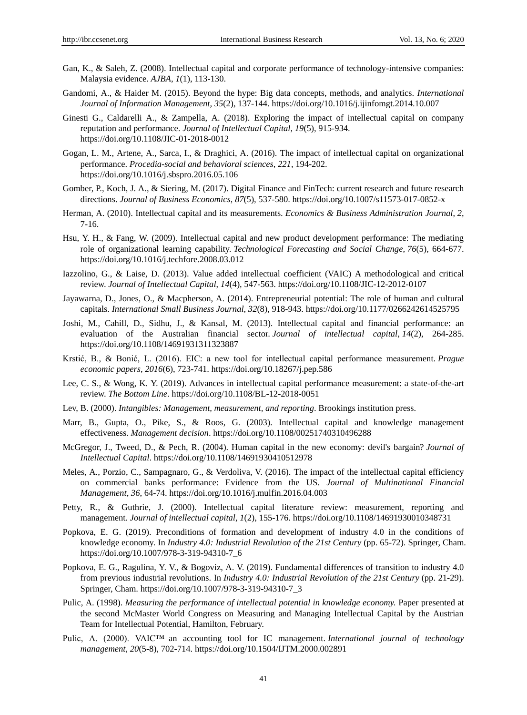- Gan, K., & Saleh, Z. (2008). Intellectual capital and corporate performance of technology-intensive companies: Malaysia evidence. *AJBA*, *1*(1), 113-130.
- Gandomi, A., & Haider M. (2015). Beyond the hype: Big data concepts, methods, and analytics. *International Journal of Information Management, 35*(2), 137-144.<https://doi.org/10.1016/j.ijinfomgt.2014.10.007>
- Ginesti G., Caldarelli A., & Zampella, A. (2018). Exploring the impact of intellectual capital on company reputation and performance. *Journal of Intellectual Capital, 19*(5), 915-934. https://doi.org/10.1108/JIC-01-2018-0012
- Gogan, L. M., Artene, A., Sarca, I., & Draghici, A. (2016). The impact of intellectual capital on organizational performance. *Procedia-social and behavioral sciences*, *221*, 194-202. https://doi.org/10.1016/j.sbspro.2016.05.106
- Gomber, P., Koch, J. A., & Siering, M. (2017). Digital Finance and FinTech: current research and future research directions. *Journal of Business Economics*, *87*(5), 537-580. https://doi.org/10.1007/s11573-017-0852-x
- Herman, A. (2010). Intellectual capital and its measurements. *Economics & Business Administration Journal*, *2*, 7-16.
- Hsu, Y. H., & Fang, W. (2009). Intellectual capital and new product development performance: The mediating role of organizational learning capability. *Technological Forecasting and Social Change*, *76*(5), 664-677. <https://doi.org/10.1016/j.techfore.2008.03.012>
- Iazzolino, G., & Laise, D. (2013). Value added intellectual coefficient (VAIC) A methodological and critical review. *Journal of Intellectual Capital*, *14*(4), 547-563. <https://doi.org/10.1108/JIC-12-2012-0107>
- Jayawarna, D., Jones, O., & Macpherson, A. (2014). Entrepreneurial potential: The role of human and cultural capitals. *International Small Business Journal*, *32*(8), 918-943[. https://doi.org/10.1177/0266242614525795](https://doi.org/10.1177%2F0266242614525795)
- Joshi, M., Cahill, D., Sidhu, J., & Kansal, M. (2013). Intellectual capital and financial performance: an evaluation of the Australian financial sector. *Journal of intellectual capital*, *14*(2), 264-285. https://doi.org/10.1108/14691931311323887
- Krstić, B., & Bonić, L. (2016). EIC: a new tool for intellectual capital performance measurement. *Prague economic papers*, *2016*(6), 723-741. https://doi.org/10.18267/j.pep.586
- Lee, C. S., & Wong, K. Y. (2019). Advances in intellectual capital performance measurement: a state-of-the-art review. *The Bottom Line*.<https://doi.org/10.1108/BL-12-2018-0051>
- Lev, B. (2000). *Intangibles: Management, measurement, and reporting*. Brookings institution press.
- Marr, B., Gupta, O., Pike, S., & Roos, G. (2003). Intellectual capital and knowledge management effectiveness. *Management decision*.<https://doi.org/10.1108/00251740310496288>
- McGregor, J., Tweed, D., & Pech, R. (2004). Human capital in the new economy: devil's bargain? *Journal of Intellectual Capital*.<https://doi.org/10.1108/14691930410512978>
- Meles, A., Porzio, C., Sampagnaro, G., & Verdoliva, V. (2016). The impact of the intellectual capital efficiency on commercial banks performance: Evidence from the US. *Journal of Multinational Financial Management*, *36*, 64-74. https://doi.org/10.1016/j.mulfin.2016.04.003
- Petty, R., & Guthrie, J. (2000). Intellectual capital literature review: measurement, reporting and management. *Journal of intellectual capital*, *1*(2), 155-176. https://doi.org/10.1108/14691930010348731
- Popkova, E. G. (2019). Preconditions of formation and development of industry 4.0 in the conditions of knowledge economy. In *Industry 4.0: Industrial Revolution of the 21st Century* (pp. 65-72). Springer, Cham. https://doi.org/10.1007/978-3-319-94310-7\_6
- Popkova, E. G., Ragulina, Y. V., & Bogoviz, A. V. (2019). Fundamental differences of transition to industry 4.0 from previous industrial revolutions. In *Industry 4.0: Industrial Revolution of the 21st Century* (pp. 21-29). Springer, Cham. https://doi.org/10.1007/978-3-319-94310-7\_3
- Pulic, A. (1998). *Measuring the performance of intellectual potential in knowledge economy*. Paper presented at the second McMaster World Congress on Measuring and Managing Intellectual Capital by the Austrian Team for Intellectual Potential, Hamilton, February.
- Pulic, A. (2000). VAIC™–an accounting tool for IC management. *International journal of technology management*, *20*(5-8), 702-714. https://doi.org/10.1504/IJTM.2000.002891